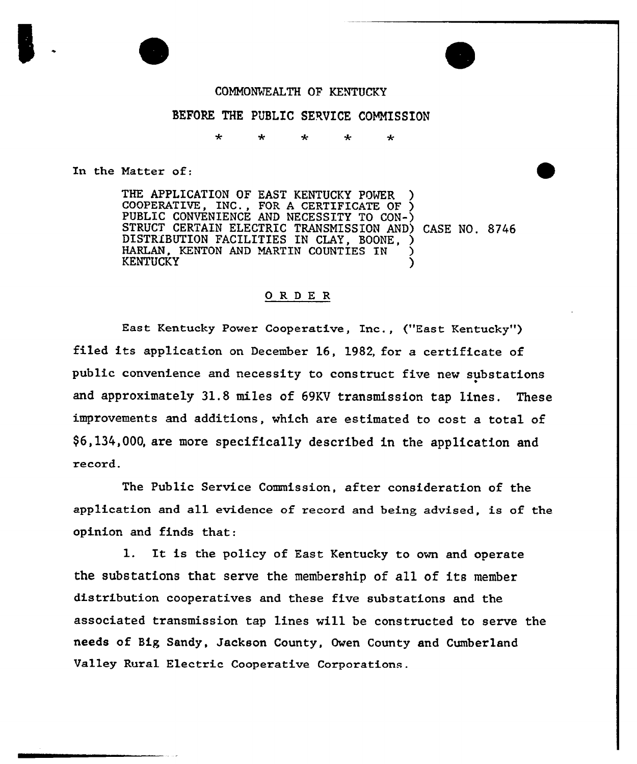

## BEFORE THE PUBLIC SERVICE COMMISSION

In the Matter of:

THE APPLICATION OF EAST KENTUCKY POWER COOPERATIVE, INC., FOR <sup>A</sup> CERTIFICATE OF ) PUBLIC CONVENIENCE AND NECESSITY TO CON-) STRUCT CERTAIN ELECTRIC TRANSMISSION AND} CASE NO. 8746 DISTRIBUTION FACILITIES IN CLAY, BOONE, ) HARLAN, KENTON AND MARTIN COUNTIES IN **KENTUCKY** 

## ORDER

East Kentucky Power Cooperative, Inc., ("East Kentucky") filed its application on December 16, 1982, for a certificate of public convenience and necessity to construct five new substations and approximately 31.8 miles of 69KV transmission tap lines. These improvements and additions, which are estimated to cost a total of  $$6,134,000$ , are more specifically described in the application and record.

The Public Service Commission, after consideration of the application and all evidence of record and being advised, is of the opinion and finds that:

1. It is the policy of East Kentucky to own and operate the substations that serve the membership of all of its member distribution cooperatives and these five substations and the associated transmission tap lines will be constructed to serve the needs of Big Sandy, Jackson County, Owen County and Cumberland Valley Rural Electric Cooperative Corporations.